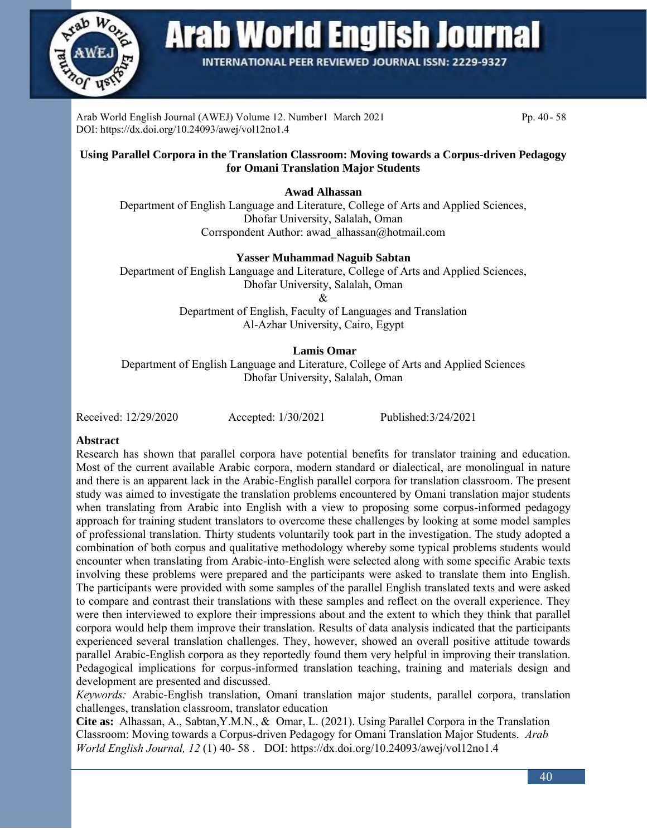

**Arab World English Journal** 

**INTERNATIONAL PEER REVIEWED JOURNAL ISSN: 2229-9327** 

Arab World English Journal (AWEJ) Volume 12. Number1 March 2021 Pp. 40- 58 DOI: https://dx.doi.org/10.24093/awej/vol12no1.4

#### **Using Parallel Corpora in the Translation Classroom: Moving towards a Corpus-driven Pedagogy for Omani Translation Major Students**

**Awad Alhassan**

Department of English Language and Literature, College of Arts and Applied Sciences, Dhofar University, Salalah, Oman Corrspondent Author: awad\_alhassan@hotmail.com

### **Yasser Muhammad Naguib Sabtan**

Department of English Language and Literature, College of Arts and Applied Sciences, Dhofar University, Salalah, Oman &

Department of English, Faculty of Languages and Translation Al-Azhar University, Cairo, Egypt

#### **Lamis Omar**

Department of English Language and Literature, College of Arts and Applied Sciences Dhofar University, Salalah, Oman

Received: 12/29/2020 Accepted: 1/30/2021 Published:3/24/2021

#### **Abstract**

Research has shown that parallel corpora have potential benefits for translator training and education. Most of the current available Arabic corpora, modern standard or dialectical, are monolingual in nature and there is an apparent lack in the Arabic-English parallel corpora for translation classroom. The present study was aimed to investigate the translation problems encountered by Omani translation major students when translating from Arabic into English with a view to proposing some corpus-informed pedagogy approach for training student translators to overcome these challenges by looking at some model samples of professional translation. Thirty students voluntarily took part in the investigation. The study adopted a combination of both corpus and qualitative methodology whereby some typical problems students would encounter when translating from Arabic-into-English were selected along with some specific Arabic texts involving these problems were prepared and the participants were asked to translate them into English. The participants were provided with some samples of the parallel English translated texts and were asked to compare and contrast their translations with these samples and reflect on the overall experience. They were then interviewed to explore their impressions about and the extent to which they think that parallel corpora would help them improve their translation. Results of data analysis indicated that the participants experienced several translation challenges. They, however, showed an overall positive attitude towards parallel Arabic-English corpora as they reportedly found them very helpful in improving their translation. Pedagogical implications for corpus-informed translation teaching, training and materials design and development are presented and discussed.

*Keywords:* Arabic-English translation, Omani translation major students, parallel corpora, translation challenges, translation classroom, translator education

**Cite as:** Alhassan, A., Sabtan,Y.M.N., & Omar, L. (2021). Using Parallel Corpora in the Translation Classroom: Moving towards a Corpus-driven Pedagogy for Omani Translation Major Students. *Arab World English Journal, 12* (1) 40- 58 . DOI: https://dx.doi.org/10.24093/awej/vol12no1.4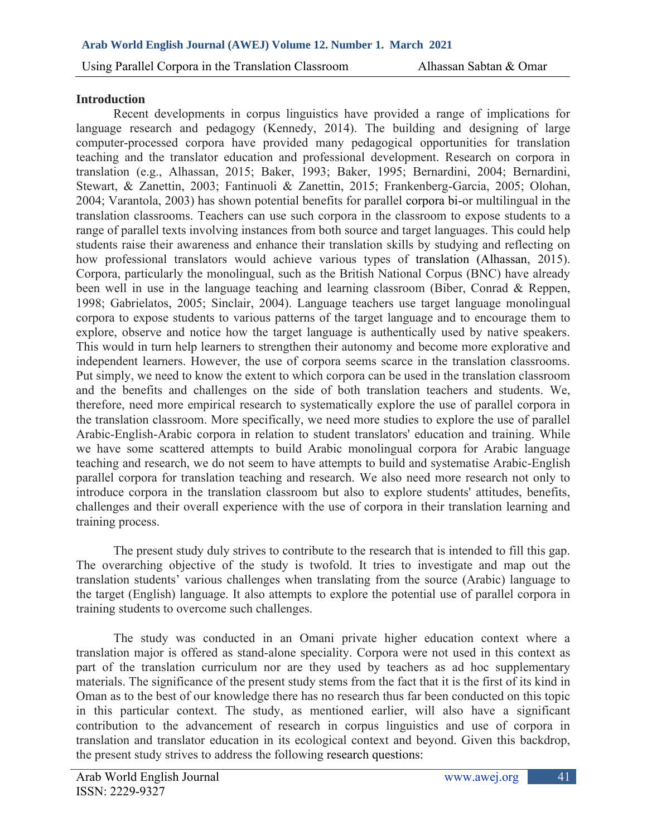## **Introduction**

Recent developments in corpus linguistics have provided a range of implications for language research and pedagogy (Kennedy, 2014). The building and designing of large computer-processed corpora have provided many pedagogical opportunities for translation teaching and the translator education and professional development. Research on corpora in translation (e.g., Alhassan, 2015; Baker, 1993; Baker, 1995; Bernardini, 2004; Bernardini, Stewart, & Zanettin, 2003; Fantinuoli & Zanettin, 2015; Frankenberg-Garcia, 2005; Olohan, 2004; Varantola, 2003) has shown potential benefits for parallel corpora bi-or multilingual in the translation classrooms. Teachers can use such corpora in the classroom to expose students to a range of parallel texts involving instances from both source and target languages. This could help students raise their awareness and enhance their translation skills by studying and reflecting on how professional translators would achieve various types of translation (Alhassan, 2015). Corpora, particularly the monolingual, such as the British National Corpus (BNC) have already been well in use in the language teaching and learning classroom (Biber, Conrad & Reppen, 1998; Gabrielatos, 2005; Sinclair, 2004). Language teachers use target language monolingual corpora to expose students to various patterns of the target language and to encourage them to explore, observe and notice how the target language is authentically used by native speakers. This would in turn help learners to strengthen their autonomy and become more explorative and independent learners. However, the use of corpora seems scarce in the translation classrooms. Put simply, we need to know the extent to which corpora can be used in the translation classroom and the benefits and challenges on the side of both translation teachers and students. We, therefore, need more empirical research to systematically explore the use of parallel corpora in the translation classroom. More specifically, we need more studies to explore the use of parallel Arabic-English-Arabic corpora in relation to student translators' education and training. While we have some scattered attempts to build Arabic monolingual corpora for Arabic language teaching and research, we do not seem to have attempts to build and systematise Arabic-English parallel corpora for translation teaching and research. We also need more research not only to introduce corpora in the translation classroom but also to explore students' attitudes, benefits, challenges and their overall experience with the use of corpora in their translation learning and training process.

The present study duly strives to contribute to the research that is intended to fill this gap. The overarching objective of the study is twofold. It tries to investigate and map out the translation students' various challenges when translating from the source (Arabic) language to the target (English) language. It also attempts to explore the potential use of parallel corpora in training students to overcome such challenges.

The study was conducted in an Omani private higher education context where a translation major is offered as stand-alone speciality. Corpora were not used in this context as part of the translation curriculum nor are they used by teachers as ad hoc supplementary materials. The significance of the present study stems from the fact that it is the first of its kind in Oman as to the best of our knowledge there has no research thus far been conducted on this topic in this particular context. The study, as mentioned earlier, will also have a significant contribution to the advancement of research in corpus linguistics and use of corpora in translation and translator education in its ecological context and beyond. Given this backdrop, the present study strives to address the following research questions: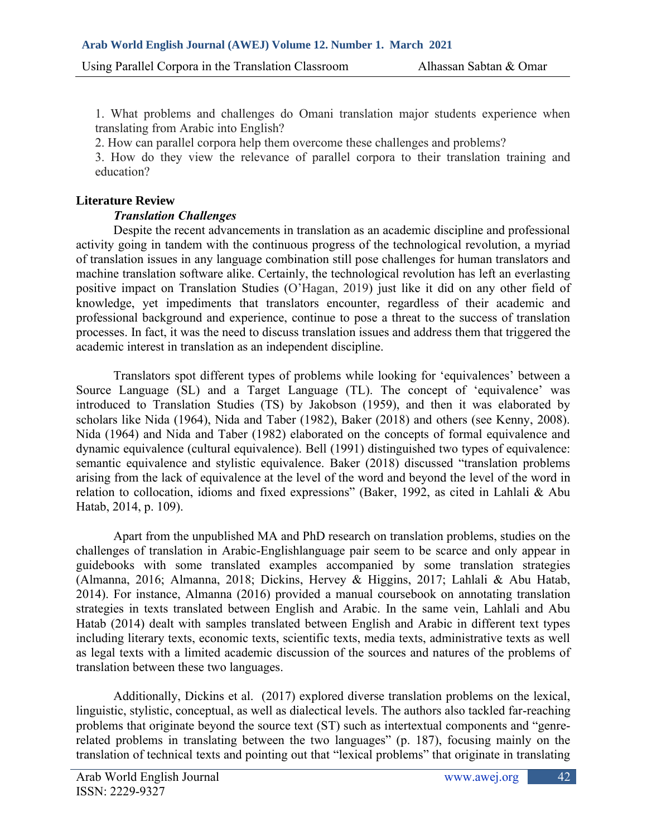1. What problems and challenges do Omani translation major students experience when translating from Arabic into English?

2. How can parallel corpora help them overcome these challenges and problems?

3. How do they view the relevance of parallel corpora to their translation training and education?

# **Literature Review**

# *Translation Challenges*

Despite the recent advancements in translation as an academic discipline and professional activity going in tandem with the continuous progress of the technological revolution, a myriad of translation issues in any language combination still pose challenges for human translators and machine translation software alike. Certainly, the technological revolution has left an everlasting positive impact on Translation Studies (O'Hagan, 2019) just like it did on any other field of knowledge, yet impediments that translators encounter, regardless of their academic and professional background and experience, continue to pose a threat to the success of translation processes. In fact, it was the need to discuss translation issues and address them that triggered the academic interest in translation as an independent discipline.

Translators spot different types of problems while looking for 'equivalences' between a Source Language (SL) and a Target Language (TL). The concept of 'equivalence' was introduced to Translation Studies (TS) by Jakobson (1959), and then it was elaborated by scholars like Nida (1964), Nida and Taber (1982), Baker (2018) and others (see Kenny, 2008). Nida (1964) and Nida and Taber (1982) elaborated on the concepts of formal equivalence and dynamic equivalence (cultural equivalence). Bell (1991) distinguished two types of equivalence: semantic equivalence and stylistic equivalence. Baker (2018) discussed "translation problems arising from the lack of equivalence at the level of the word and beyond the level of the word in relation to collocation, idioms and fixed expressions" (Baker, 1992, as cited in Lahlali & Abu Hatab, 2014, p. 109).

Apart from the unpublished MA and PhD research on translation problems, studies on the challenges of translation in Arabic-Englishlanguage pair seem to be scarce and only appear in guidebooks with some translated examples accompanied by some translation strategies (Almanna, 2016; Almanna, 2018; Dickins, Hervey & Higgins, 2017; Lahlali & Abu Hatab, 2014). For instance, Almanna (2016) provided a manual coursebook on annotating translation strategies in texts translated between English and Arabic. In the same vein, Lahlali and Abu Hatab (2014) dealt with samples translated between English and Arabic in different text types including literary texts, economic texts, scientific texts, media texts, administrative texts as well as legal texts with a limited academic discussion of the sources and natures of the problems of translation between these two languages.

Additionally, Dickins et al. (2017) explored diverse translation problems on the lexical, linguistic, stylistic, conceptual, as well as dialectical levels. The authors also tackled far-reaching problems that originate beyond the source text (ST) such as intertextual components and "genrerelated problems in translating between the two languages" (p. 187), focusing mainly on the translation of technical texts and pointing out that "lexical problems" that originate in translating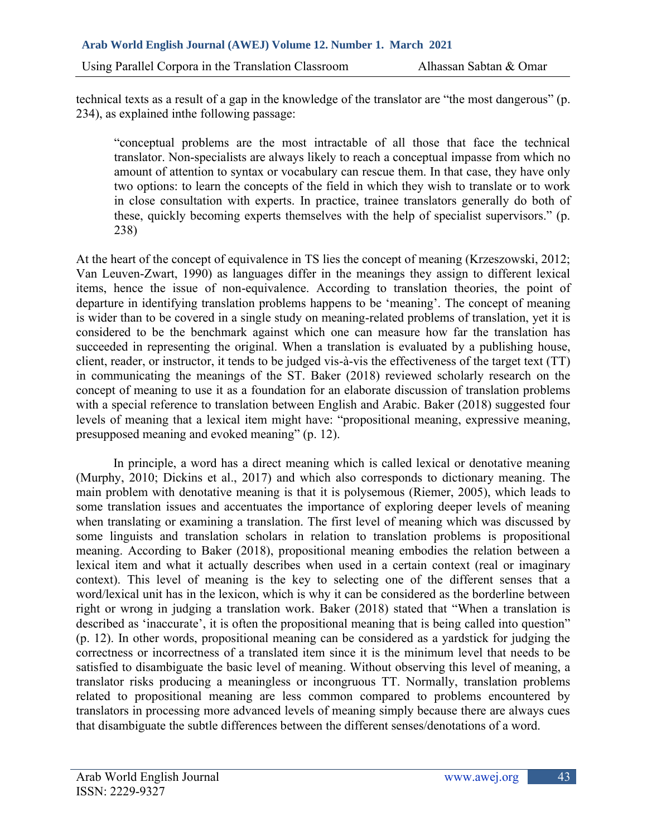technical texts as a result of a gap in the knowledge of the translator are "the most dangerous" (p. 234), as explained inthe following passage:

"conceptual problems are the most intractable of all those that face the technical translator. Non-specialists are always likely to reach a conceptual impasse from which no amount of attention to syntax or vocabulary can rescue them. In that case, they have only two options: to learn the concepts of the field in which they wish to translate or to work in close consultation with experts. In practice, trainee translators generally do both of these, quickly becoming experts themselves with the help of specialist supervisors." (p. 238)

At the heart of the concept of equivalence in TS lies the concept of meaning (Krzeszowski, 2012; Van Leuven-Zwart, 1990) as languages differ in the meanings they assign to different lexical items, hence the issue of non-equivalence. According to translation theories, the point of departure in identifying translation problems happens to be 'meaning'. The concept of meaning is wider than to be covered in a single study on meaning-related problems of translation, yet it is considered to be the benchmark against which one can measure how far the translation has succeeded in representing the original. When a translation is evaluated by a publishing house, client, reader, or instructor, it tends to be judged vis-à-vis the effectiveness of the target text (TT) in communicating the meanings of the ST. Baker (2018) reviewed scholarly research on the concept of meaning to use it as a foundation for an elaborate discussion of translation problems with a special reference to translation between English and Arabic. Baker (2018) suggested four levels of meaning that a lexical item might have: "propositional meaning, expressive meaning, presupposed meaning and evoked meaning" (p. 12).

In principle, a word has a direct meaning which is called lexical or denotative meaning (Murphy, 2010; Dickins et al., 2017) and which also corresponds to dictionary meaning. The main problem with denotative meaning is that it is polysemous (Riemer, 2005), which leads to some translation issues and accentuates the importance of exploring deeper levels of meaning when translating or examining a translation. The first level of meaning which was discussed by some linguists and translation scholars in relation to translation problems is propositional meaning. According to Baker (2018), propositional meaning embodies the relation between a lexical item and what it actually describes when used in a certain context (real or imaginary context). This level of meaning is the key to selecting one of the different senses that a word/lexical unit has in the lexicon, which is why it can be considered as the borderline between right or wrong in judging a translation work. Baker (2018) stated that "When a translation is described as 'inaccurate', it is often the propositional meaning that is being called into question" (p. 12). In other words, propositional meaning can be considered as a yardstick for judging the correctness or incorrectness of a translated item since it is the minimum level that needs to be satisfied to disambiguate the basic level of meaning. Without observing this level of meaning, a translator risks producing a meaningless or incongruous TT. Normally, translation problems related to propositional meaning are less common compared to problems encountered by translators in processing more advanced levels of meaning simply because there are always cues that disambiguate the subtle differences between the different senses/denotations of a word.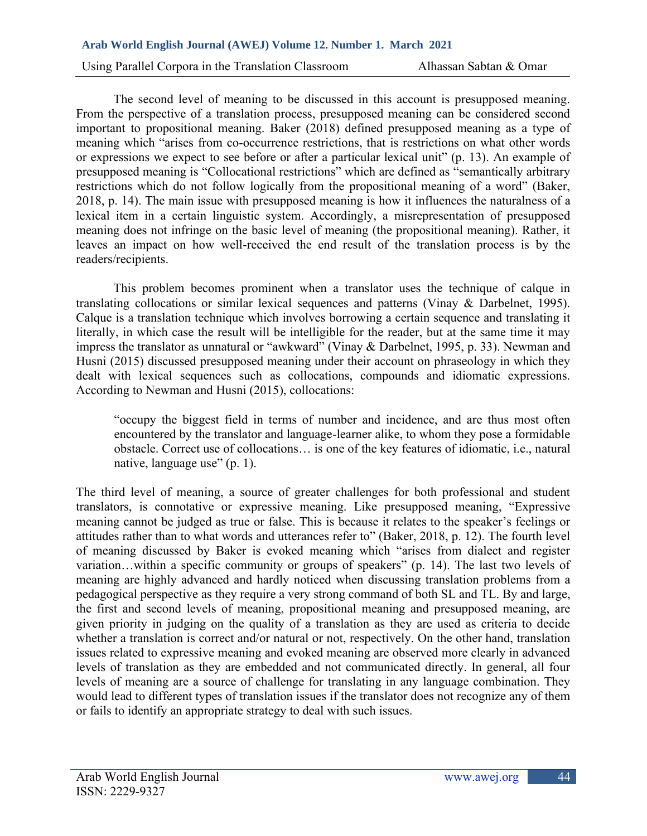Using Parallel Corpora in the Translation Classroom Alhassan Sabtan & Omar

The second level of meaning to be discussed in this account is presupposed meaning. From the perspective of a translation process, presupposed meaning can be considered second important to propositional meaning. Baker (2018) defined presupposed meaning as a type of meaning which "arises from co-occurrence restrictions, that is restrictions on what other words or expressions we expect to see before or after a particular lexical unit" (p. 13). An example of presupposed meaning is "Collocational restrictions" which are defined as "semantically arbitrary restrictions which do not follow logically from the propositional meaning of a word" (Baker, 2018, p. 14). The main issue with presupposed meaning is how it influences the naturalness of a lexical item in a certain linguistic system. Accordingly, a misrepresentation of presupposed meaning does not infringe on the basic level of meaning (the propositional meaning). Rather, it leaves an impact on how well-received the end result of the translation process is by the readers/recipients.

This problem becomes prominent when a translator uses the technique of calque in translating collocations or similar lexical sequences and patterns (Vinay & Darbelnet, 1995). Calque is a translation technique which involves borrowing a certain sequence and translating it literally, in which case the result will be intelligible for the reader, but at the same time it may impress the translator as unnatural or "awkward" (Vinay & Darbelnet, 1995, p. 33). Newman and Husni (2015) discussed presupposed meaning under their account on phraseology in which they dealt with lexical sequences such as collocations, compounds and idiomatic expressions. According to Newman and Husni (2015), collocations:

"occupy the biggest field in terms of number and incidence, and are thus most often encountered by the translator and language-learner alike, to whom they pose a formidable obstacle. Correct use of collocations… is one of the key features of idiomatic, i.e., natural native, language use" (p. 1).

The third level of meaning, a source of greater challenges for both professional and student translators, is connotative or expressive meaning. Like presupposed meaning, "Expressive meaning cannot be judged as true or false. This is because it relates to the speaker's feelings or attitudes rather than to what words and utterances refer to" (Baker, 2018, p. 12). The fourth level of meaning discussed by Baker is evoked meaning which "arises from dialect and register variation…within a specific community or groups of speakers" (p. 14). The last two levels of meaning are highly advanced and hardly noticed when discussing translation problems from a pedagogical perspective as they require a very strong command of both SL and TL. By and large, the first and second levels of meaning, propositional meaning and presupposed meaning, are given priority in judging on the quality of a translation as they are used as criteria to decide whether a translation is correct and/or natural or not, respectively. On the other hand, translation issues related to expressive meaning and evoked meaning are observed more clearly in advanced levels of translation as they are embedded and not communicated directly. In general, all four levels of meaning are a source of challenge for translating in any language combination. They would lead to different types of translation issues if the translator does not recognize any of them or fails to identify an appropriate strategy to deal with such issues.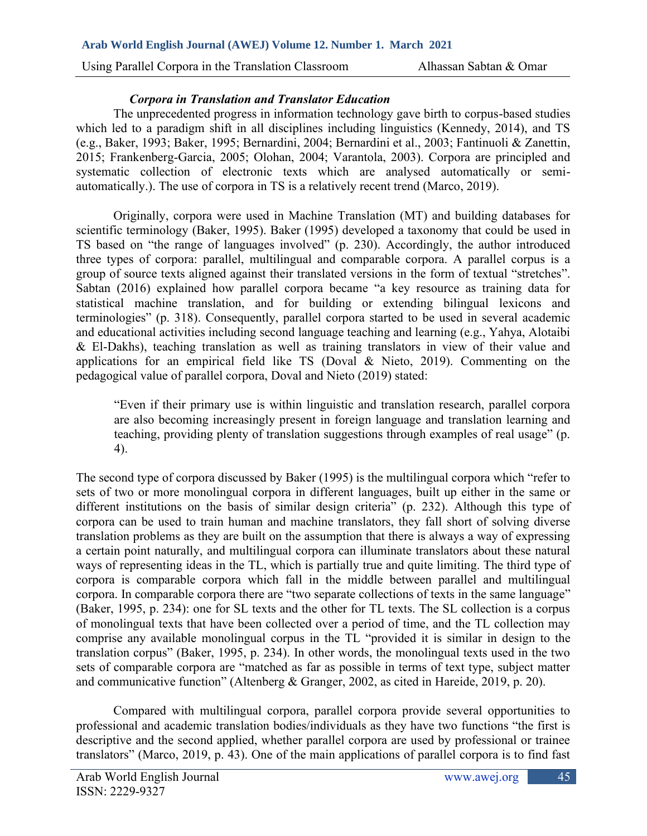# *Corpora in Translation and Translator Education*

The unprecedented progress in information technology gave birth to corpus-based studies which led to a paradigm shift in all disciplines including linguistics (Kennedy, 2014), and TS (e.g., Baker, 1993; Baker, 1995; Bernardini, 2004; Bernardini et al., 2003; Fantinuoli & Zanettin, 2015; Frankenberg-Garcia, 2005; Olohan, 2004; Varantola, 2003). Corpora are principled and systematic collection of electronic texts which are analysed automatically or semiautomatically.). The use of corpora in TS is a relatively recent trend (Marco, 2019).

Originally, corpora were used in Machine Translation (MT) and building databases for scientific terminology (Baker, 1995). Baker (1995) developed a taxonomy that could be used in TS based on "the range of languages involved" (p. 230). Accordingly, the author introduced three types of corpora: parallel, multilingual and comparable corpora. A parallel corpus is a group of source texts aligned against their translated versions in the form of textual "stretches". Sabtan (2016) explained how parallel corpora became "a key resource as training data for statistical machine translation, and for building or extending bilingual lexicons and terminologies" (p. 318). Consequently, parallel corpora started to be used in several academic and educational activities including second language teaching and learning (e.g., Yahya, Alotaibi & El-Dakhs), teaching translation as well as training translators in view of their value and applications for an empirical field like TS (Doval & Nieto, 2019). Commenting on the pedagogical value of parallel corpora, Doval and Nieto (2019) stated:

"Even if their primary use is within linguistic and translation research, parallel corpora are also becoming increasingly present in foreign language and translation learning and teaching, providing plenty of translation suggestions through examples of real usage" (p. 4).

The second type of corpora discussed by Baker (1995) is the multilingual corpora which "refer to sets of two or more monolingual corpora in different languages, built up either in the same or different institutions on the basis of similar design criteria" (p. 232). Although this type of corpora can be used to train human and machine translators, they fall short of solving diverse translation problems as they are built on the assumption that there is always a way of expressing a certain point naturally, and multilingual corpora can illuminate translators about these natural ways of representing ideas in the TL, which is partially true and quite limiting. The third type of corpora is comparable corpora which fall in the middle between parallel and multilingual corpora. In comparable corpora there are "two separate collections of texts in the same language" (Baker, 1995, p. 234): one for SL texts and the other for TL texts. The SL collection is a corpus of monolingual texts that have been collected over a period of time, and the TL collection may comprise any available monolingual corpus in the TL "provided it is similar in design to the translation corpus" (Baker, 1995, p. 234). In other words, the monolingual texts used in the two sets of comparable corpora are "matched as far as possible in terms of text type, subject matter and communicative function" (Altenberg & Granger, 2002, as cited in Hareide, 2019, p. 20).

Compared with multilingual corpora, parallel corpora provide several opportunities to professional and academic translation bodies/individuals as they have two functions "the first is descriptive and the second applied, whether parallel corpora are used by professional or trainee translators" (Marco, 2019, p. 43). One of the main applications of parallel corpora is to find fast

45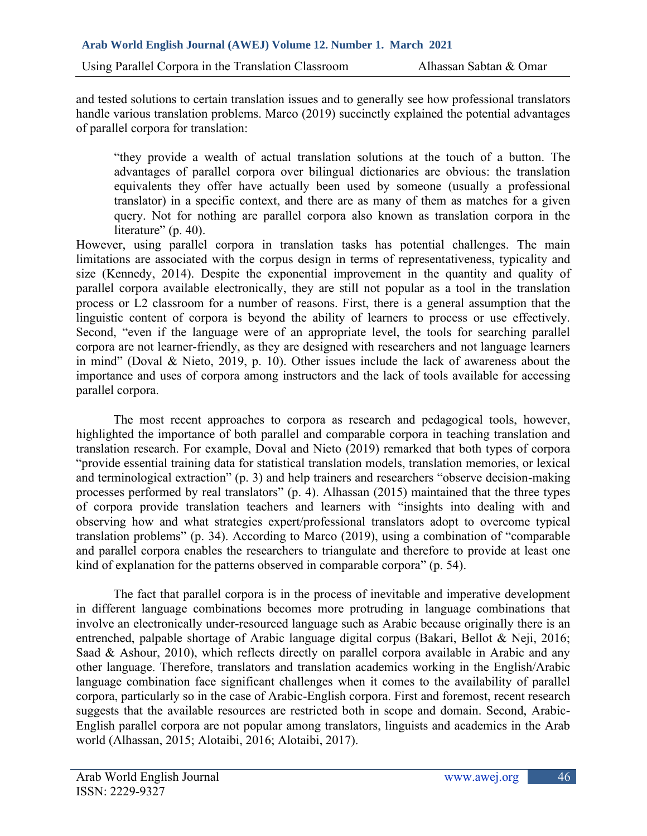and tested solutions to certain translation issues and to generally see how professional translators handle various translation problems. Marco (2019) succinctly explained the potential advantages of parallel corpora for translation:

"they provide a wealth of actual translation solutions at the touch of a button. The advantages of parallel corpora over bilingual dictionaries are obvious: the translation equivalents they offer have actually been used by someone (usually a professional translator) in a specific context, and there are as many of them as matches for a given query. Not for nothing are parallel corpora also known as translation corpora in the literature" (p. 40).

However, using parallel corpora in translation tasks has potential challenges. The main limitations are associated with the corpus design in terms of representativeness, typicality and size (Kennedy, 2014). Despite the exponential improvement in the quantity and quality of parallel corpora available electronically, they are still not popular as a tool in the translation process or L2 classroom for a number of reasons. First, there is a general assumption that the linguistic content of corpora is beyond the ability of learners to process or use effectively. Second, "even if the language were of an appropriate level, the tools for searching parallel corpora are not learner-friendly, as they are designed with researchers and not language learners in mind" (Doval & Nieto, 2019, p. 10). Other issues include the lack of awareness about the importance and uses of corpora among instructors and the lack of tools available for accessing parallel corpora.

The most recent approaches to corpora as research and pedagogical tools, however, highlighted the importance of both parallel and comparable corpora in teaching translation and translation research. For example, Doval and Nieto (2019) remarked that both types of corpora "provide essential training data for statistical translation models, translation memories, or lexical and terminological extraction" (p. 3) and help trainers and researchers "observe decision-making processes performed by real translators" (p. 4). Alhassan (2015) maintained that the three types of corpora provide translation teachers and learners with "insights into dealing with and observing how and what strategies expert/professional translators adopt to overcome typical translation problems" (p. 34). According to Marco (2019), using a combination of "comparable and parallel corpora enables the researchers to triangulate and therefore to provide at least one kind of explanation for the patterns observed in comparable corpora" (p. 54).

The fact that parallel corpora is in the process of inevitable and imperative development in different language combinations becomes more protruding in language combinations that involve an electronically under-resourced language such as Arabic because originally there is an entrenched, palpable shortage of Arabic language digital corpus (Bakari, Bellot & Neji, 2016; Saad & Ashour, 2010), which reflects directly on parallel corpora available in Arabic and any other language. Therefore, translators and translation academics working in the English/Arabic language combination face significant challenges when it comes to the availability of parallel corpora, particularly so in the case of Arabic-English corpora. First and foremost, recent research suggests that the available resources are restricted both in scope and domain. Second, Arabic-English parallel corpora are not popular among translators, linguists and academics in the Arab world (Alhassan, 2015; Alotaibi, 2016; Alotaibi, 2017).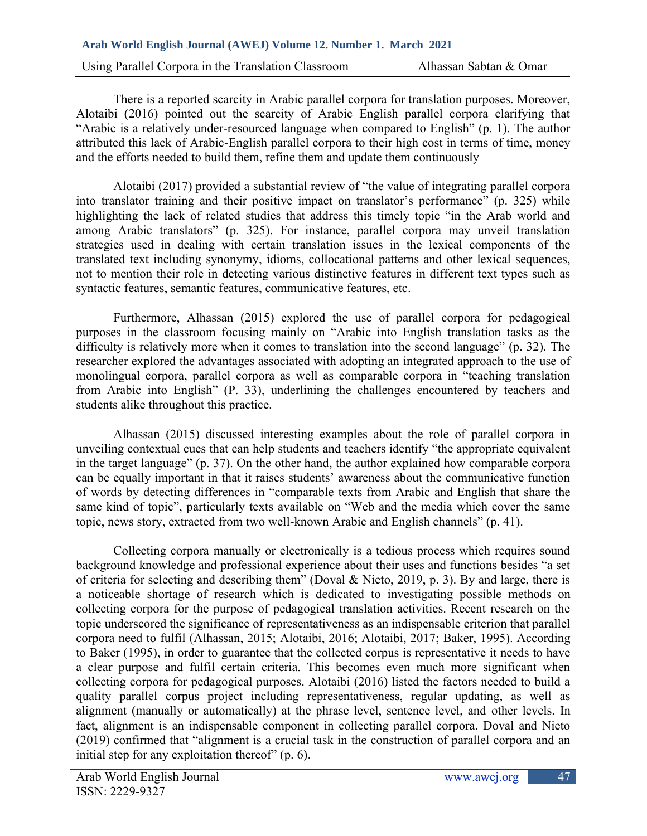Using Parallel Corpora in the Translation Classroom Alhassan Sabtan & Omar

There is a reported scarcity in Arabic parallel corpora for translation purposes. Moreover, Alotaibi (2016) pointed out the scarcity of Arabic English parallel corpora clarifying that "Arabic is a relatively under-resourced language when compared to English" (p. 1). The author attributed this lack of Arabic-English parallel corpora to their high cost in terms of time, money and the efforts needed to build them, refine them and update them continuously

Alotaibi (2017) provided a substantial review of "the value of integrating parallel corpora into translator training and their positive impact on translator's performance" (p. 325) while highlighting the lack of related studies that address this timely topic "in the Arab world and among Arabic translators" (p. 325). For instance, parallel corpora may unveil translation strategies used in dealing with certain translation issues in the lexical components of the translated text including synonymy, idioms, collocational patterns and other lexical sequences, not to mention their role in detecting various distinctive features in different text types such as syntactic features, semantic features, communicative features, etc.

Furthermore, Alhassan (2015) explored the use of parallel corpora for pedagogical purposes in the classroom focusing mainly on "Arabic into English translation tasks as the difficulty is relatively more when it comes to translation into the second language" (p. 32). The researcher explored the advantages associated with adopting an integrated approach to the use of monolingual corpora, parallel corpora as well as comparable corpora in "teaching translation from Arabic into English" (P. 33), underlining the challenges encountered by teachers and students alike throughout this practice.

Alhassan (2015) discussed interesting examples about the role of parallel corpora in unveiling contextual cues that can help students and teachers identify "the appropriate equivalent in the target language" (p. 37). On the other hand, the author explained how comparable corpora can be equally important in that it raises students' awareness about the communicative function of words by detecting differences in "comparable texts from Arabic and English that share the same kind of topic", particularly texts available on "Web and the media which cover the same topic, news story, extracted from two well-known Arabic and English channels" (p. 41).

Collecting corpora manually or electronically is a tedious process which requires sound background knowledge and professional experience about their uses and functions besides "a set of criteria for selecting and describing them" (Doval & Nieto, 2019, p. 3). By and large, there is a noticeable shortage of research which is dedicated to investigating possible methods on collecting corpora for the purpose of pedagogical translation activities. Recent research on the topic underscored the significance of representativeness as an indispensable criterion that parallel corpora need to fulfil (Alhassan, 2015; Alotaibi, 2016; Alotaibi, 2017; Baker, 1995). According to Baker (1995), in order to guarantee that the collected corpus is representative it needs to have a clear purpose and fulfil certain criteria. This becomes even much more significant when collecting corpora for pedagogical purposes. Alotaibi (2016) listed the factors needed to build a quality parallel corpus project including representativeness, regular updating, as well as alignment (manually or automatically) at the phrase level, sentence level, and other levels. In fact, alignment is an indispensable component in collecting parallel corpora. Doval and Nieto (2019) confirmed that "alignment is a crucial task in the construction of parallel corpora and an initial step for any exploitation thereof" (p. 6).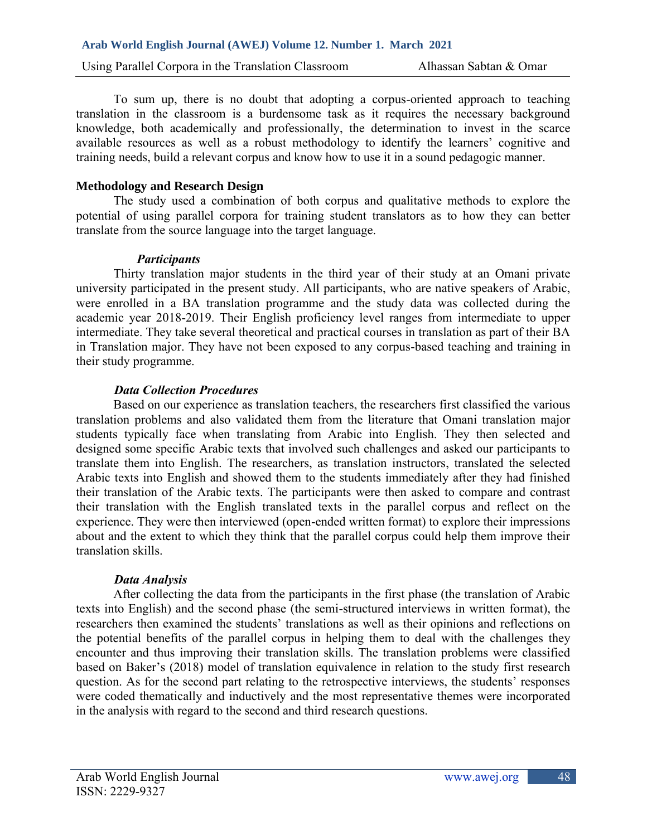Using Parallel Corpora in the Translation Classroom Alhassan Sabtan & Omar

To sum up, there is no doubt that adopting a corpus-oriented approach to teaching translation in the classroom is a burdensome task as it requires the necessary background knowledge, both academically and professionally, the determination to invest in the scarce available resources as well as a robust methodology to identify the learners' cognitive and training needs, build a relevant corpus and know how to use it in a sound pedagogic manner.

# **Methodology and Research Design**

The study used a combination of both corpus and qualitative methods to explore the potential of using parallel corpora for training student translators as to how they can better translate from the source language into the target language.

# *Participants*

Thirty translation major students in the third year of their study at an Omani private university participated in the present study. All participants, who are native speakers of Arabic, were enrolled in a BA translation programme and the study data was collected during the academic year 2018-2019. Their English proficiency level ranges from intermediate to upper intermediate. They take several theoretical and practical courses in translation as part of their BA in Translation major. They have not been exposed to any corpus-based teaching and training in their study programme.

# *Data Collection Procedures*

Based on our experience as translation teachers, the researchers first classified the various translation problems and also validated them from the literature that Omani translation major students typically face when translating from Arabic into English. They then selected and designed some specific Arabic texts that involved such challenges and asked our participants to translate them into English. The researchers, as translation instructors, translated the selected Arabic texts into English and showed them to the students immediately after they had finished their translation of the Arabic texts. The participants were then asked to compare and contrast their translation with the English translated texts in the parallel corpus and reflect on the experience. They were then interviewed (open-ended written format) to explore their impressions about and the extent to which they think that the parallel corpus could help them improve their translation skills.

# *Data Analysis*

After collecting the data from the participants in the first phase (the translation of Arabic texts into English) and the second phase (the semi-structured interviews in written format), the researchers then examined the students' translations as well as their opinions and reflections on the potential benefits of the parallel corpus in helping them to deal with the challenges they encounter and thus improving their translation skills. The translation problems were classified based on Baker's (2018) model of translation equivalence in relation to the study first research question. As for the second part relating to the retrospective interviews, the students' responses were coded thematically and inductively and the most representative themes were incorporated in the analysis with regard to the second and third research questions.

48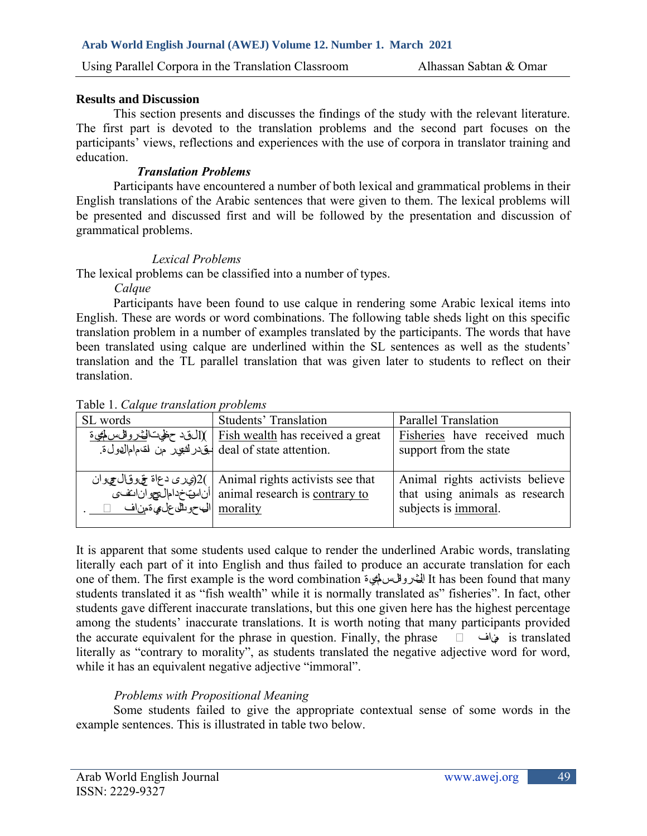## **Results and Discussion**

This section presents and discusses the findings of the study with the relevant literature. The first part is devoted to the translation problems and the second part focuses on the participants' views, reflections and experiences with the use of corpora in translator training and education.

## *Translation Problems*

Participants have encountered a number of both lexical and grammatical problems in their English translations of the Arabic sentences that were given to them. The lexical problems will be presented and discussed first and will be followed by the presentation and discussion of grammatical problems.

### *Lexical Problems*

The lexical problems can be classified into a number of types.

*Calque*

Participants have been found to use calque in rendering some Arabic lexical items into English. These are words or word combinations. The following table sheds light on this specific translation problem in a number of examples translated by the participants. The words that have been translated using calque are underlined within the SL sentences as well as the students' translation and the TL parallel translation that was given later to students to reflect on their translation.

| SL words                             | <b>Students' Translation</b>                                                                                                      | <b>Parallel Translation</b>                                                               |
|--------------------------------------|-----------------------------------------------------------------------------------------------------------------------------------|-------------------------------------------------------------------------------------------|
|                                      | النقد حظيت الخدرواليس لمجيءَ) [ [ Fish wealth has received a great<br>.deal of state attention ليتيادر لشبهار من لقدم ام الدول ة. | Fisheries have received much<br>support from the state                                    |
| morality  البي حويلِّك على مِ ةمن اف | ويری دعاة تخ وقال عودان)2(   Animal rights activists see that<br>animal research is contrary to أن البيت خدام البيعو آن التف      | Animal rights activists believe<br>that using animals as research<br>subjects is immoral. |

Table 1. *Calque translation problems*

It is apparent that some students used calque to render the underlined Arabic words, translating literally each part of it into English and thus failed to produce an accurate translation for each one of them. The first example is the word combination الخثروفل سالمي ة It has been found that many students translated it as "fish wealth" while it is normally translated as" fisheries". In fact, other students gave different inaccurate translations, but this one given here has the highest percentage among the students' inaccurate translations. It is worth noting that many participants provided the accurate equivalent for the phrase in question. Finally, the phrase ���� مناف is translated literally as "contrary to morality", as students translated the negative adjective word for word, while it has an equivalent negative adjective "immoral".

# *Problems with Propositional Meaning*

Some students failed to give the appropriate contextual sense of some words in the example sentences. This is illustrated in table two below.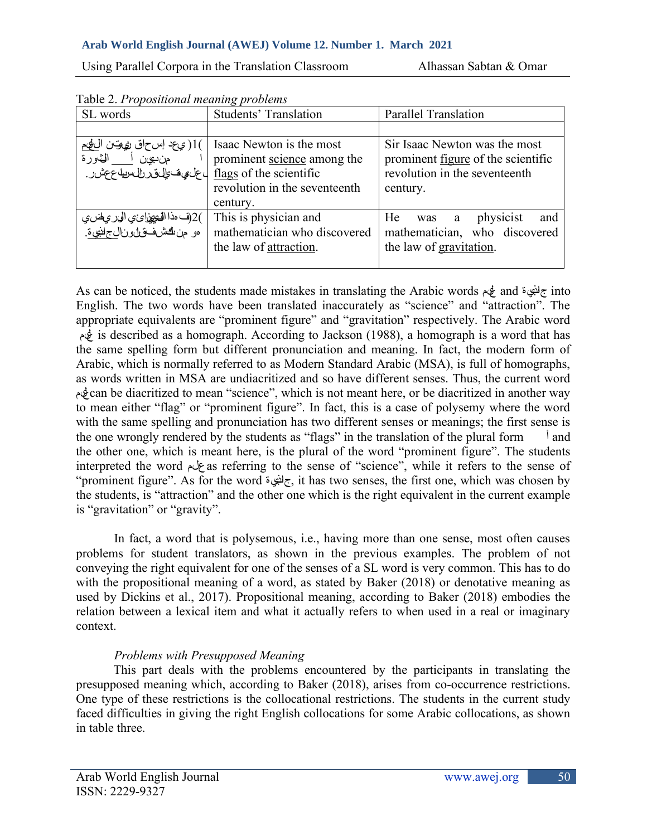Using Parallel Corpora in the Translation Classroom Alhassan Sabtan & Omar

| SL words                                                                                                             | <b>Students' Translation</b>                                                                         | <b>Parallel Translation</b>                                                                                             |
|----------------------------------------------------------------------------------------------------------------------|------------------------------------------------------------------------------------------------------|-------------------------------------------------------------------------------------------------------------------------|
|                                                                                                                      |                                                                                                      |                                                                                                                         |
| )1( ي عد إس حاق ري وتن اللهيم<br>من يحق أست الثاورة<br><u>flags</u> of the scientific ل على شجال قررال سويله ع عشر . | Isaac Newton is the most<br>prominent science among the<br>revolution in the seventeenth<br>century. | Sir Isaac Newton was the most<br>prominent <u>figure</u> of the scientific<br>revolution in the seventeenth<br>century. |
| )2(ف مذا الْهَيْهِزائِي الْوَرْ عِلْضِي<br>ەو منڭشفىقل <i>لو</i> نا <u>ل-لنبيء</u> ّ.                                | This is physician and<br>mathematician who discovered<br>the law of attraction.                      | He<br>and<br>physicist<br>was<br>a<br>mathematician, who discovered<br>the law of gravitation.                          |

Table 2. *Propositional meaning problems* 

As can be noticed, the students made mistakes in translating the Arabic words علم and جاذبية into English. The two words have been translated inaccurately as "science" and "attraction". The appropriate equivalents are "prominent figure" and "gravitation" respectively. The Arabic word is described as a homograph. According to Jackson (1988), a homograph is a word that has the same spelling form but different pronunciation and meaning. In fact, the modern form of Arabic, which is normally referred to as Modern Standard Arabic (MSA), is full of homographs, as words written in MSA are undiacritized and so have different senses. Thus, the current word  $\oint$ can be diacritized to mean "science", which is not meant here, or be diacritized in another way to mean either "flag" or "prominent figure". In fact, this is a case of polysemy where the word with the same spelling and pronunciation has two different senses or meanings; the first sense is the one wrongly rendered by the students as "flags" in the translation of the plural form  $\frac{1}{2}$  and the other one, which is meant here, is the plural of the word "prominent figure". The students interpreted the word علم as referring to the sense of "science", while it refers to the sense of "prominent figure". As for the word جاذبية, it has two senses, the first one, which was chosen by the students, is "attraction" and the other one which is the right equivalent in the current example is "gravitation" or "gravity".

In fact, a word that is polysemous, i.e., having more than one sense, most often causes problems for student translators, as shown in the previous examples. The problem of not conveying the right equivalent for one of the senses of a SL word is very common. This has to do with the propositional meaning of a word, as stated by Baker (2018) or denotative meaning as used by Dickins et al., 2017). Propositional meaning, according to Baker (2018) embodies the relation between a lexical item and what it actually refers to when used in a real or imaginary context.

# *Problems with Presupposed Meaning*

This part deals with the problems encountered by the participants in translating the presupposed meaning which, according to Baker (2018), arises from co-occurrence restrictions. One type of these restrictions is the collocational restrictions. The students in the current study faced difficulties in giving the right English collocations for some Arabic collocations, as shown in table three.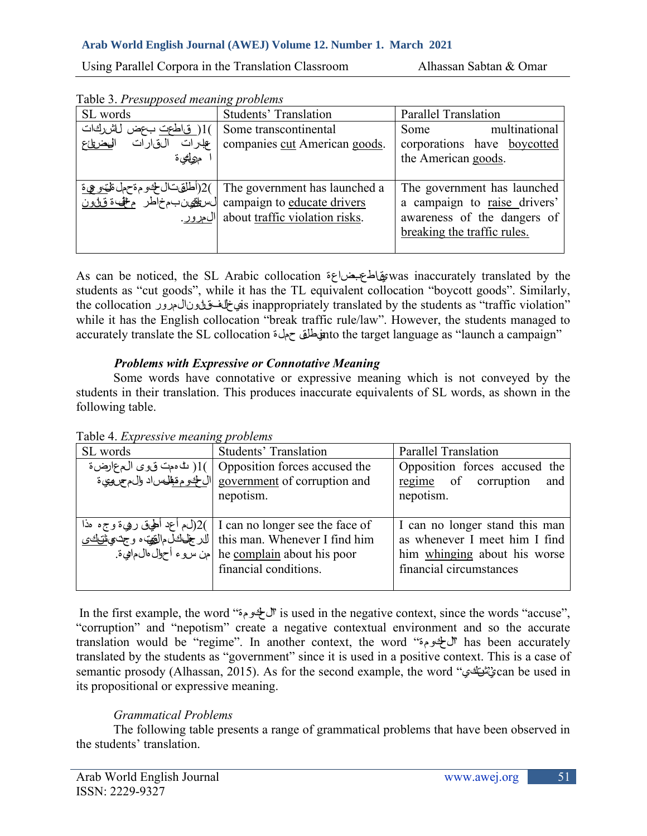Using Parallel Corpora in the Translation Classroom Alhassan Sabtan & Omar

| Table 3. Presupposed meaning problems |  |  |
|---------------------------------------|--|--|
|                                       |  |  |

| SL words                       | <b>Students' Translation</b>   | <b>Parallel Translation</b>  |
|--------------------------------|--------------------------------|------------------------------|
| )1(فياطحت بحض للشركات)         | Some transcontinental          | multinational<br>Some        |
| الفارات<br>الهضريئ<br>علىرات   | companies cut American goods.  | corporations have boycotted  |
| مرولئي ة                       |                                | the American goods.          |
|                                |                                |                              |
| )2(أطلقتال لخوم ةحمل ةلهو عي ة | The government has launched a  | The government has launched  |
| لسطفينب مخاطر منف قلون         | campaign to educate drivers    | a campaign to raise drivers' |
| ا <u>ل مرور .</u>              | about traffic violation risks. | awareness of the dangers of  |
|                                |                                | breaking the traffic rules.  |
|                                |                                |                              |

As can be noticed, the SL Arabic collocation بضاعة يقاطعwas inaccurately translated by the students as "cut goods", while it has the TL equivalent collocation "boycott goods". Similarly, the collocation المرور قانون يخالفis inappropriately translated by the students as "traffic violation" while it has the English collocation "break traffic rule/law". However, the students managed to accurately translate the SL collocation حملة يطلقinto the target language as "launch a campaign"

# *Problems with Expressive or Connotative Meaning*

Some words have connotative or expressive meaning which is not conveyed by the students in their translation. This produces inaccurate equivalents of SL words, as shown in the following table.

| SL words | <b>Students' Translation</b>                                                                       | <b>Parallel Translation</b>    |
|----------|----------------------------------------------------------------------------------------------------|--------------------------------|
|          | Opposition forces accused the ( له موت فيوى الم عمارض ة )1(   Opposition forces accused the        | Opposition forces accused the  |
|          | government of corruption and  الم لمجدي الله على الله على الله على الله على الله على الله على الله | regime of corruption<br>and    |
|          | nepotism.                                                                                          | nepotism.                      |
|          |                                                                                                    |                                |
|          | ] 2( لم أعد أطيق رهيءَ وجء مذا) 2(   I can no longer see the face of                               | I can no longer stand this man |
|          | this man. Whenever I find him   لدر فجالخل مالقِّهَ، و جن ي <u>منافحتي</u>                         | as whenever I meet him I find  |
|          | he complain about his poor  جن سروء أحوال مال ماهيءة.                                              | him whinging about his worse   |
|          | financial conditions.                                                                              | financial circumstances        |
|          |                                                                                                    |                                |

Table 4. *Expressive meaning problems*

In the first example, the word "الحكومة "is used in the negative context, since the words "accuse", "corruption" and "nepotism" create a negative contextual environment and so the accurate translation would be "regime". In another context, the word "الحكومة "has been accurately translated by the students as "government" since it is used in a positive context. This is a case of semantic prosody (Alhassan, 2015). As for the second example, the word "يشتكي "can be used in its propositional or expressive meaning.

# *Grammatical Problems*

The following table presents a range of grammatical problems that have been observed in the students' translation.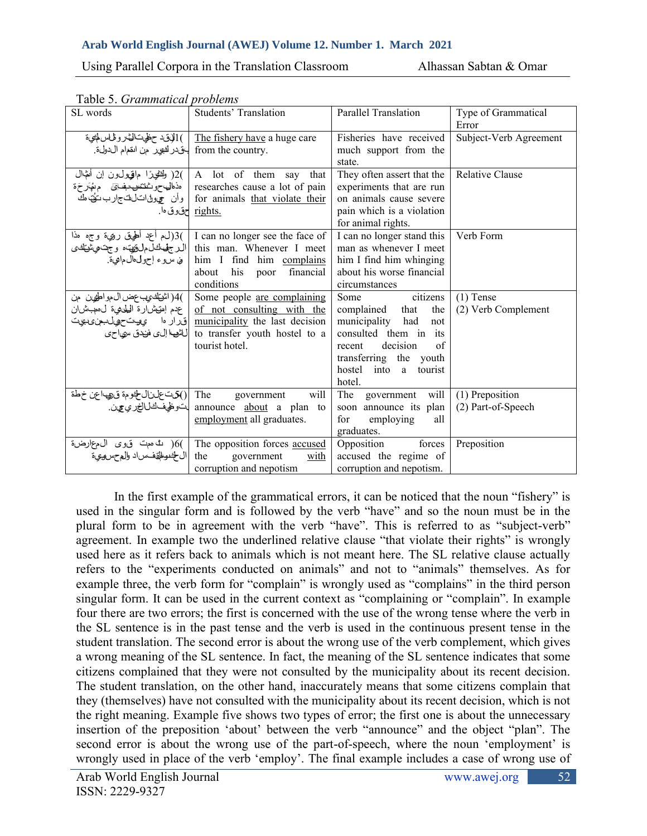| SL words                                                                                                | <b>Students' Translation</b>                                                                                                                                                                                | <b>Parallel Translation</b>                                                                                                                                                                   | Type of Grammatical<br>Error          |
|---------------------------------------------------------------------------------------------------------|-------------------------------------------------------------------------------------------------------------------------------------------------------------------------------------------------------------|-----------------------------------------------------------------------------------------------------------------------------------------------------------------------------------------------|---------------------------------------|
| .from the country بتيدر لشهر من انقدام الدول:                                                           | الوق حظيت الخ روفاس( <u>The fishery have</u> a huge care ) [الوق حظيت الخ روفا الس                                                                                                                          | Fisheries have received<br>much support from the<br>state.                                                                                                                                    | Subject-Verb Agreement                |
| )2( وَلِتَّقِيرًا مِاقِيْوَلْ1نِ إِنْ أَنْهَال                                                          | A lot of them say that<br>researches cause a lot of pain   مذمال حوث تنتخص منها و مهارجة<br>  for animals <u>that violate their</u>   وأن مج بول انتخاب ارب توت مك<br><u>rights.</u> حقوق ها ِ              | They often assert that the<br>experiments that are run<br>on animals cause severe<br>pain which is a violation<br>for animal rights.                                                          | <b>Relative Clause</b>                |
| )3(لء أعد أطيق رويءَ وجه مذا<br>ال جُهْيَاكَلْمِلْوَنِيْتَ، وَجْتَمِيْتَنْكَ ي<br>في سروء إحول الءايءٌ. | I can no longer see the face of<br>this man. Whenever I meet<br>him I find him complains<br>his<br>financial<br>about<br>poor<br>conditions                                                                 | I can no longer stand this<br>man as whenever I meet<br>him I find him whinging<br>about his worse financial<br>circumstances                                                                 | Verb Form                             |
| )4( اشتان ي عض ال مواطفين حن<br>لاشها إلى فندق سياحي                                                    | Some people are complaining<br>of not consulting with the   عدم إمتيشارة اللحامية لىمجبشان<br>municipality the last decision  قرار ما ويوت حول بمن ى بيت<br>to transfer youth hostel to a<br>tourist hotel. | citizens<br>Some<br>complained that<br>the<br>municipality had<br>not<br>consulted them in its<br>decision<br>of<br>recent<br>transferring the youth<br>hostel into<br>tourist<br>a<br>hotel. | $(1)$ Tense<br>(2) Verb Complement    |
| The  ()شتخلناللخومة ق، اعن خطة                                                                          | government<br>will<br>announce <u>about</u> a plan to باتوظيفكالالغ لي عرف<br>employment all graduates.                                                                                                     | The<br>government will<br>soon announce its plan<br>employing<br>for<br>all<br>graduates.                                                                                                     | (1) Preposition<br>(2) Part-of-Speech |
|                                                                                                         | )6( لنا مهت ق وى ال معارضة)<br>the government <u>with</u> ال <del>أ</del> نوالتي ف سراد والمع سروي؟<br>corruption and nepotism                                                                              | forces<br>Opposition<br>accused the regime of<br>corruption and nepotism.                                                                                                                     | Preposition                           |

Table 5. *Grammatical problems* 

In the first example of the grammatical errors, it can be noticed that the noun "fishery" is used in the singular form and is followed by the verb "have" and so the noun must be in the plural form to be in agreement with the verb "have". This is referred to as "subject-verb" agreement. In example two the underlined relative clause "that violate their rights" is wrongly used here as it refers back to animals which is not meant here. The SL relative clause actually refers to the "experiments conducted on animals" and not to "animals" themselves. As for example three, the verb form for "complain" is wrongly used as "complains" in the third person singular form. It can be used in the current context as "complaining or "complain". In example four there are two errors; the first is concerned with the use of the wrong tense where the verb in the SL sentence is in the past tense and the verb is used in the continuous present tense in the student translation. The second error is about the wrong use of the verb complement, which gives a wrong meaning of the SL sentence. In fact, the meaning of the SL sentence indicates that some citizens complained that they were not consulted by the municipality about its recent decision. The student translation, on the other hand, inaccurately means that some citizens complain that they (themselves) have not consulted with the municipality about its recent decision, which is not the right meaning. Example five shows two types of error; the first one is about the unnecessary insertion of the preposition 'about' between the verb "announce" and the object "plan". The second error is about the wrong use of the part-of-speech, where the noun 'employment' is wrongly used in place of the verb 'employ'. The final example includes a case of wrong use of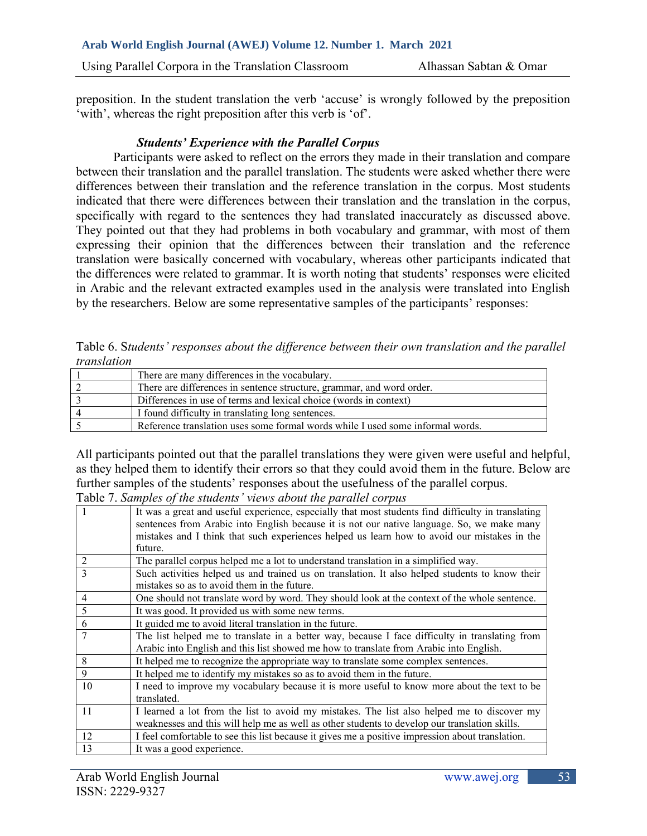Using Parallel Corpora in the Translation Classroom Alhassan Sabtan & Omar

preposition. In the student translation the verb 'accuse' is wrongly followed by the preposition 'with', whereas the right preposition after this verb is 'of'.

# *Students' Experience with the Parallel Corpus*

Participants were asked to reflect on the errors they made in their translation and compare between their translation and the parallel translation. The students were asked whether there were differences between their translation and the reference translation in the corpus. Most students indicated that there were differences between their translation and the translation in the corpus, specifically with regard to the sentences they had translated inaccurately as discussed above. They pointed out that they had problems in both vocabulary and grammar, with most of them expressing their opinion that the differences between their translation and the reference translation were basically concerned with vocabulary, whereas other participants indicated that the differences were related to grammar. It is worth noting that students' responses were elicited in Arabic and the relevant extracted examples used in the analysis were translated into English by the researchers. Below are some representative samples of the participants' responses:

Table 6. S*tudents' responses about the difference between their own translation and the parallel translation* 

| There are many differences in the vocabulary.                                  |
|--------------------------------------------------------------------------------|
| There are differences in sentence structure, grammar, and word order.          |
| Differences in use of terms and lexical choice (words in context)              |
| I found difficulty in translating long sentences.                              |
| Reference translation uses some formal words while I used some informal words. |

All participants pointed out that the parallel translations they were given were useful and helpful, as they helped them to identify their errors so that they could avoid them in the future. Below are further samples of the students' responses about the usefulness of the parallel corpus.

Table 7. *Samples of the students' views about the parallel corpus* 

|    | It was a great and useful experience, especially that most students find difficulty in translating<br>sentences from Arabic into English because it is not our native language. So, we make many<br>mistakes and I think that such experiences helped us learn how to avoid our mistakes in the<br>future. |
|----|------------------------------------------------------------------------------------------------------------------------------------------------------------------------------------------------------------------------------------------------------------------------------------------------------------|
| 2  | The parallel corpus helped me a lot to understand translation in a simplified way.                                                                                                                                                                                                                         |
| 3  | Such activities helped us and trained us on translation. It also helped students to know their<br>mistakes so as to avoid them in the future.                                                                                                                                                              |
| 4  | One should not translate word by word. They should look at the context of the whole sentence.                                                                                                                                                                                                              |
| 5  | It was good. It provided us with some new terms.                                                                                                                                                                                                                                                           |
| 6  | It guided me to avoid literal translation in the future.                                                                                                                                                                                                                                                   |
| 7  | The list helped me to translate in a better way, because I face difficulty in translating from<br>Arabic into English and this list showed me how to translate from Arabic into English.                                                                                                                   |
| 8  | It helped me to recognize the appropriate way to translate some complex sentences.                                                                                                                                                                                                                         |
| 9  | It helped me to identify my mistakes so as to avoid them in the future.                                                                                                                                                                                                                                    |
| 10 | I need to improve my vocabulary because it is more useful to know more about the text to be<br>translated.                                                                                                                                                                                                 |
| 11 | I learned a lot from the list to avoid my mistakes. The list also helped me to discover my<br>weaknesses and this will help me as well as other students to develop our translation skills.                                                                                                                |
| 12 | I feel comfortable to see this list because it gives me a positive impression about translation.                                                                                                                                                                                                           |
| 13 | It was a good experience.                                                                                                                                                                                                                                                                                  |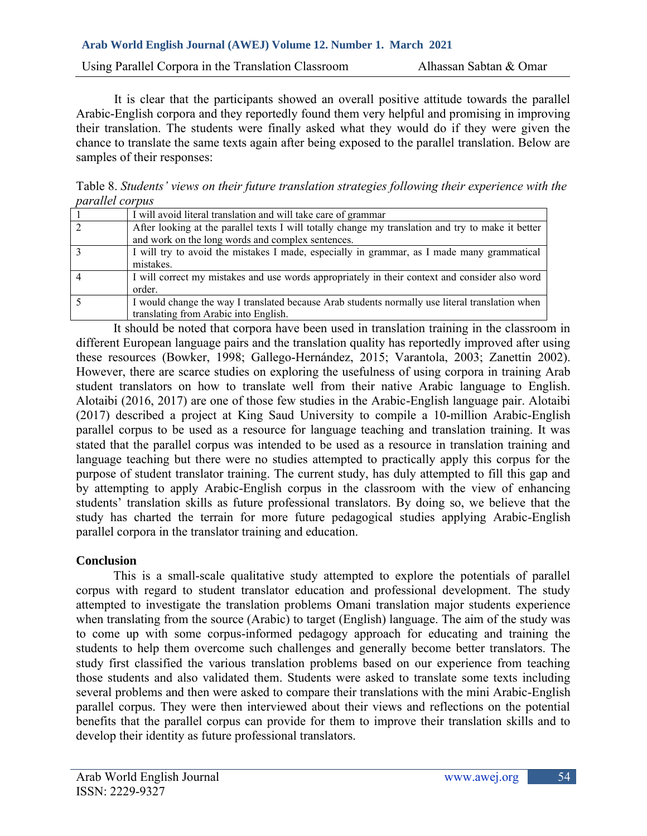Using Parallel Corpora in the Translation Classroom Alhassan Sabtan & Omar

It is clear that the participants showed an overall positive attitude towards the parallel Arabic-English corpora and they reportedly found them very helpful and promising in improving their translation. The students were finally asked what they would do if they were given the chance to translate the same texts again after being exposed to the parallel translation. Below are samples of their responses:

Table 8. *Students' views on their future translation strategies following their experience with the parallel corpus* 

| I will avoid literal translation and will take care of grammar                                     |
|----------------------------------------------------------------------------------------------------|
| After looking at the parallel texts I will totally change my translation and try to make it better |
| and work on the long words and complex sentences.                                                  |
| I will try to avoid the mistakes I made, especially in grammar, as I made many grammatical         |
| mistakes.                                                                                          |
| I will correct my mistakes and use words appropriately in their context and consider also word     |
| order.                                                                                             |
| I would change the way I translated because Arab students normally use literal translation when    |
| translating from Arabic into English.                                                              |

It should be noted that corpora have been used in translation training in the classroom in different European language pairs and the translation quality has reportedly improved after using these resources (Bowker, 1998; Gallego-Hernández, 2015; Varantola, 2003; Zanettin 2002). However, there are scarce studies on exploring the usefulness of using corpora in training Arab student translators on how to translate well from their native Arabic language to English. Alotaibi (2016, 2017) are one of those few studies in the Arabic-English language pair. Alotaibi (2017) described a project at King Saud University to compile a 10-million Arabic-English parallel corpus to be used as a resource for language teaching and translation training. It was stated that the parallel corpus was intended to be used as a resource in translation training and language teaching but there were no studies attempted to practically apply this corpus for the purpose of student translator training. The current study, has duly attempted to fill this gap and by attempting to apply Arabic-English corpus in the classroom with the view of enhancing students' translation skills as future professional translators. By doing so, we believe that the study has charted the terrain for more future pedagogical studies applying Arabic-English parallel corpora in the translator training and education.

### **Conclusion**

This is a small-scale qualitative study attempted to explore the potentials of parallel corpus with regard to student translator education and professional development. The study attempted to investigate the translation problems Omani translation major students experience when translating from the source (Arabic) to target (English) language. The aim of the study was to come up with some corpus-informed pedagogy approach for educating and training the students to help them overcome such challenges and generally become better translators. The study first classified the various translation problems based on our experience from teaching those students and also validated them. Students were asked to translate some texts including several problems and then were asked to compare their translations with the mini Arabic-English parallel corpus. They were then interviewed about their views and reflections on the potential benefits that the parallel corpus can provide for them to improve their translation skills and to develop their identity as future professional translators.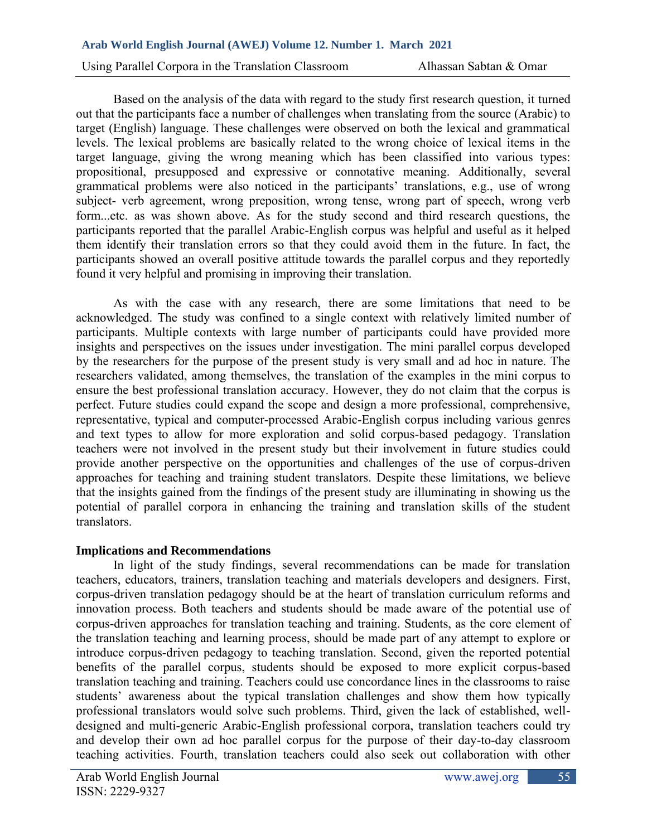Using Parallel Corpora in the Translation Classroom Alhassan Sabtan & Omar

Based on the analysis of the data with regard to the study first research question, it turned out that the participants face a number of challenges when translating from the source (Arabic) to target (English) language. These challenges were observed on both the lexical and grammatical levels. The lexical problems are basically related to the wrong choice of lexical items in the target language, giving the wrong meaning which has been classified into various types: propositional, presupposed and expressive or connotative meaning. Additionally, several grammatical problems were also noticed in the participants' translations, e.g., use of wrong subject- verb agreement, wrong preposition, wrong tense, wrong part of speech, wrong verb form...etc. as was shown above. As for the study second and third research questions, the participants reported that the parallel Arabic-English corpus was helpful and useful as it helped them identify their translation errors so that they could avoid them in the future. In fact, the participants showed an overall positive attitude towards the parallel corpus and they reportedly found it very helpful and promising in improving their translation.

As with the case with any research, there are some limitations that need to be acknowledged. The study was confined to a single context with relatively limited number of participants. Multiple contexts with large number of participants could have provided more insights and perspectives on the issues under investigation. The mini parallel corpus developed by the researchers for the purpose of the present study is very small and ad hoc in nature. The researchers validated, among themselves, the translation of the examples in the mini corpus to ensure the best professional translation accuracy. However, they do not claim that the corpus is perfect. Future studies could expand the scope and design a more professional, comprehensive, representative, typical and computer-processed Arabic-English corpus including various genres and text types to allow for more exploration and solid corpus-based pedagogy. Translation teachers were not involved in the present study but their involvement in future studies could provide another perspective on the opportunities and challenges of the use of corpus-driven approaches for teaching and training student translators. Despite these limitations, we believe that the insights gained from the findings of the present study are illuminating in showing us the potential of parallel corpora in enhancing the training and translation skills of the student translators.

# **Implications and Recommendations**

In light of the study findings, several recommendations can be made for translation teachers, educators, trainers, translation teaching and materials developers and designers. First, corpus-driven translation pedagogy should be at the heart of translation curriculum reforms and innovation process. Both teachers and students should be made aware of the potential use of corpus-driven approaches for translation teaching and training. Students, as the core element of the translation teaching and learning process, should be made part of any attempt to explore or introduce corpus-driven pedagogy to teaching translation. Second, given the reported potential benefits of the parallel corpus, students should be exposed to more explicit corpus-based translation teaching and training. Teachers could use concordance lines in the classrooms to raise students' awareness about the typical translation challenges and show them how typically professional translators would solve such problems. Third, given the lack of established, welldesigned and multi-generic Arabic-English professional corpora, translation teachers could try and develop their own ad hoc parallel corpus for the purpose of their day-to-day classroom teaching activities. Fourth, translation teachers could also seek out collaboration with other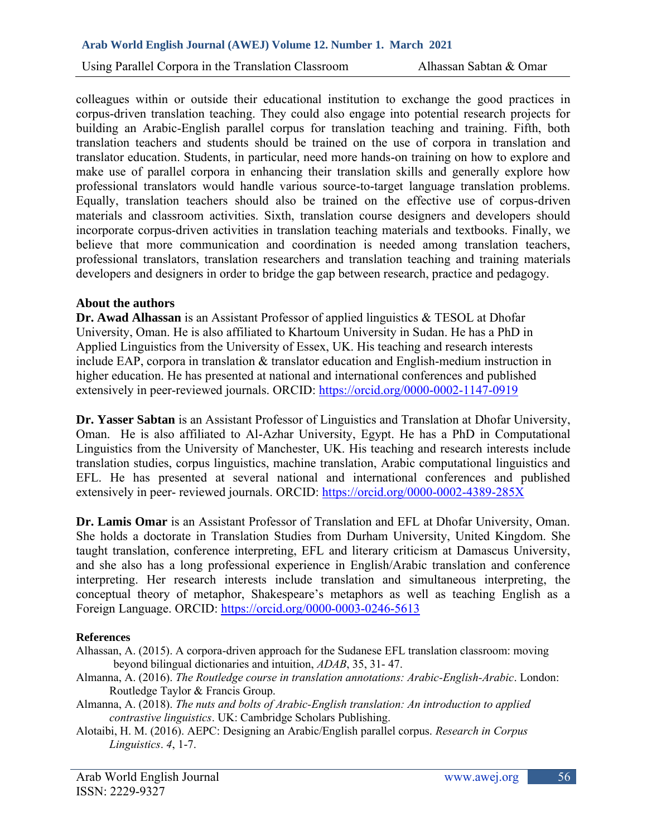Using Parallel Corpora in the Translation Classroom Alhassan Sabtan & Omar

colleagues within or outside their educational institution to exchange the good practices in corpus-driven translation teaching. They could also engage into potential research projects for building an Arabic-English parallel corpus for translation teaching and training. Fifth, both translation teachers and students should be trained on the use of corpora in translation and translator education. Students, in particular, need more hands-on training on how to explore and make use of parallel corpora in enhancing their translation skills and generally explore how professional translators would handle various source-to-target language translation problems. Equally, translation teachers should also be trained on the effective use of corpus-driven materials and classroom activities. Sixth, translation course designers and developers should incorporate corpus-driven activities in translation teaching materials and textbooks. Finally, we believe that more communication and coordination is needed among translation teachers, professional translators, translation researchers and translation teaching and training materials developers and designers in order to bridge the gap between research, practice and pedagogy.

### **About the authors**

**Dr. Awad Alhassan** is an Assistant Professor of applied linguistics & TESOL at Dhofar University, Oman. He is also affiliated to Khartoum University in Sudan. He has a PhD in Applied Linguistics from the University of Essex, UK. His teaching and research interests include EAP, corpora in translation & translator education and English-medium instruction in higher education. He has presented at national and international conferences and published extensively in peer-reviewed journals. ORCID:<https://orcid.org/0000-0002-1147-0919>

**Dr. Yasser Sabtan** is an Assistant Professor of Linguistics and Translation at Dhofar University, Oman. He is also affiliated to Al-Azhar University, Egypt. He has a PhD in Computational Linguistics from the University of Manchester, UK. His teaching and research interests include translation studies, corpus linguistics, machine translation, Arabic computational linguistics and EFL. He has presented at several national and international conferences and published extensively in peer- reviewed journals. ORCID: [https://orcid.org/0000-0002-4389-285X](https://orcid.org/0000-0002-4389-285X?lang=en)

**Dr. Lamis Omar** is an Assistant Professor of Translation and EFL at Dhofar University, Oman. She holds a doctorate in Translation Studies from Durham University, United Kingdom. She taught translation, conference interpreting, EFL and literary criticism at Damascus University, and she also has a long professional experience in English/Arabic translation and conference interpreting. Her research interests include translation and simultaneous interpreting, the conceptual theory of metaphor, Shakespeare's metaphors as well as teaching English as a Foreign Language. ORCID:<https://orcid.org/0000-0003-0246-5613>

#### **References**

- Alhassan, A. (2015). A corpora-driven approach for the Sudanese EFL translation classroom: moving beyond bilingual dictionaries and intuition, *ADAB*, 35, 31- 47.
- Almanna, A. (2016). *The Routledge course in translation annotations: Arabic-English-Arabic*. London: Routledge Taylor & Francis Group.
- Almanna, A. (2018). *The nuts and bolts of Arabic-English translation: An introduction to applied contrastive linguistics*. UK: Cambridge Scholars Publishing.
- Alotaibi, H. M. (2016). AEPC: Designing an Arabic/English parallel corpus. *Research in Corpus Linguistics*. *4*, 1-7.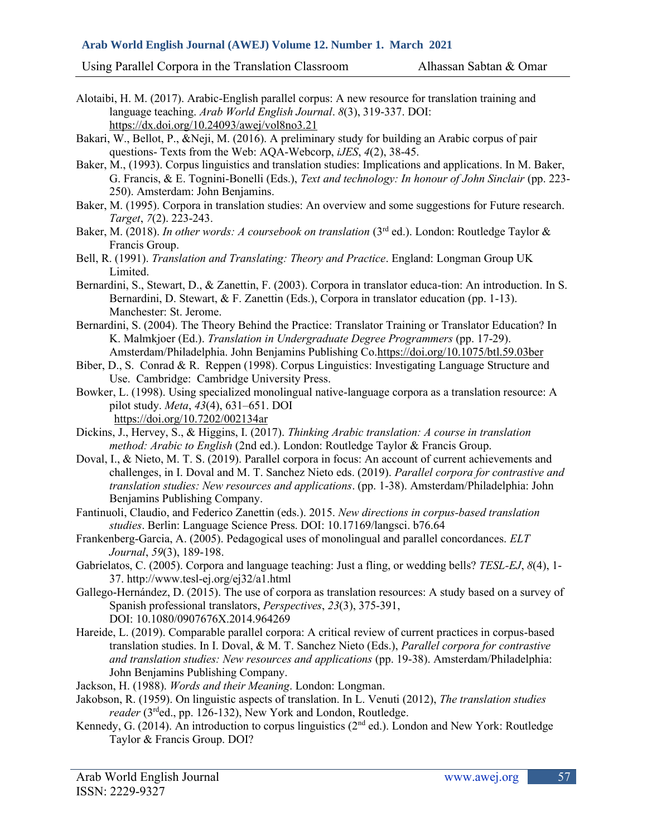Using Parallel Corpora in the Translation Classroom Alhassan Sabtan & Omar

- Alotaibi, H. M. (2017). Arabic-English parallel corpus: A new resource for translation training and language teaching. *Arab World English Journal*. *8*(3), 319-337. DOI: <https://dx.doi.org/10.24093/awej/vol8no3.21>
- Bakari, W., Bellot, P., &Neji, M. (2016). A preliminary study for building an Arabic corpus of pair questions- Texts from the Web: AQA-Webcorp, *iJES*, *4*(2), 38-45.
- Baker, M., (1993). Corpus linguistics and translation studies: Implications and applications. In M. Baker, G. Francis, & E. Tognini-Bonelli (Eds.), *Text and technology: In honour of John Sinclair* (pp. 223- 250). Amsterdam: John Benjamins.
- Baker, M. (1995). Corpora in translation studies: An overview and some suggestions for Future research. *Target*, *7*(2). 223-243.
- Baker, M. (2018). *In other words: A coursebook on translation* (3<sup>rd</sup> ed.). London: Routledge Taylor & Francis Group.
- Bell, R. (1991). *Translation and Translating: Theory and Practice*. England: Longman Group UK Limited.
- Bernardini, S., Stewart, D., & Zanettin, F. (2003). Corpora in translator educa-tion: An introduction. In S. Bernardini, D. Stewart, & F. Zanettin (Eds.), Corpora in translator education (pp. 1-13). Manchester: St. Jerome.
- Bernardini, S. (2004). The Theory Behind the Practice: Translator Training or Translator Education? In K. Malmkjoer (Ed.). *Translation in Undergraduate Degree Programmers* (pp. 17-29). Amsterdam/Philadelphia. John Benjamins Publishing Co[.https://doi.org/10.1075/btl.59.03ber](https://doi.org/10.1075/btl.59.03ber)
- Biber, D., S. Conrad & R. Reppen (1998). Corpus Linguistics: Investigating Language Structure and Use. Cambridge: Cambridge University Press.
- Bowker, L. (1998). Using specialized monolingual native-language corpora as a translation resource: A pilot study. *Meta*, *43*(4), 631–651. DOI <https://doi.org/10.7202/002134ar>
- Dickins, J., Hervey, S., & Higgins, I. (2017). *Thinking Arabic translation: A course in translation method: Arabic to English* (2nd ed.). London: Routledge Taylor & Francis Group.
- Doval, I., & Nieto, M. T. S. (2019). Parallel corpora in focus: An account of current achievements and challenges, in I. Doval and M. T. Sanchez Nieto eds. (2019). *Parallel corpora for contrastive and translation studies: New resources and applications*. (pp. 1-38). Amsterdam/Philadelphia: John Benjamins Publishing Company.
- Fantinuoli, Claudio, and Federico Zanettin (eds.). 2015. *New directions in corpus-based translation studies*. Berlin: Language Science Press. DOI: 10.17169/langsci. b76.64
- Frankenberg-Garcia, A. (2005). Pedagogical uses of monolingual and parallel concordances. *ELT Journal*, *59*(3), 189-198.
- Gabrielatos, C. (2005). Corpora and language teaching: Just a fling, or wedding bells? *TESL-EJ*, *8*(4), 1- 37. http://www.tesl-ej.org/ej32/a1.html
- Gallego-Hernández, D. (2015). The use of corpora as translation resources: A study based on a survey of Spanish professional translators, *Perspectives*, *23*(3), 375-391, DOI: [10.1080/0907676X.2014.964269](https://doi.org/10.1080/0907676X.2014.964269)
- Hareide, L. (2019). Comparable parallel corpora: A critical review of current practices in corpus-based translation studies. In I. Doval, & M. T. Sanchez Nieto (Eds.), *Parallel corpora for contrastive and translation studies: New resources and applications* (pp. 19-38). Amsterdam/Philadelphia: John Benjamins Publishing Company.
- Jackson, H. (1988). *Words and their Meaning*. London: Longman.
- Jakobson, R. (1959). On linguistic aspects of translation. In L. Venuti (2012), *The translation studies reader* (3<sup>rd</sup>ed., pp. 126-132), New York and London, Routledge.
- Kennedy, G. (2014). An introduction to corpus linguistics (2<sup>nd</sup> ed.). London and New York: Routledge Taylor & Francis Group. DOI?